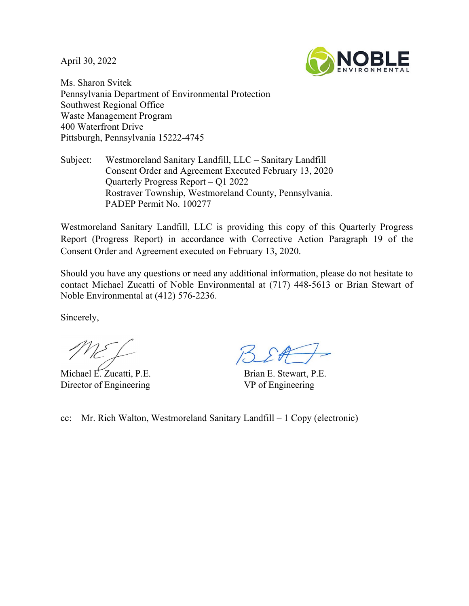April 30, 2022



Ms. Sharon Svitek Pennsylvania Department of Environmental Protection Southwest Regional Office Waste Management Program 400 Waterfront Drive Pittsburgh, Pennsylvania 15222-4745

Subject: Westmoreland Sanitary Landfill, LLC – Sanitary Landfill Consent Order and Agreement Executed February 13, 2020 Quarterly Progress Report – Q1 2022 Rostraver Township, Westmoreland County, Pennsylvania. PADEP Permit No. 100277

Westmoreland Sanitary Landfill, LLC is providing this copy of this Quarterly Progress Report (Progress Report) in accordance with Corrective Action Paragraph 19 of the Consent Order and Agreement executed on February 13, 2020.

Should you have any questions or need any additional information, please do not hesitate to contact Michael Zucatti of Noble Environmental at (717) 448-5613 or Brian Stewart of Noble Environmental at (412) 576-2236.

Sincerely,

Michael E. Zucatti, P.E. Director of Engineering

Brian E. Stewart, P.E. VP of Engineering

cc: Mr. Rich Walton, Westmoreland Sanitary Landfill – 1 Copy (electronic)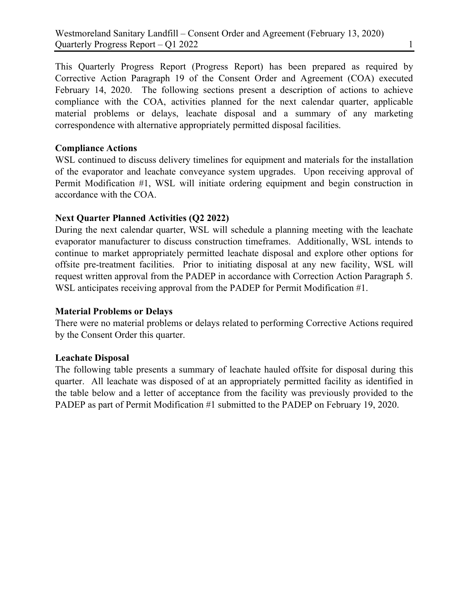This Quarterly Progress Report (Progress Report) has been prepared as required by Corrective Action Paragraph 19 of the Consent Order and Agreement (COA) executed February 14, 2020. The following sections present a description of actions to achieve compliance with the COA, activities planned for the next calendar quarter, applicable material problems or delays, leachate disposal and a summary of any marketing correspondence with alternative appropriately permitted disposal facilities.

# Compliance Actions

WSL continued to discuss delivery timelines for equipment and materials for the installation of the evaporator and leachate conveyance system upgrades. Upon receiving approval of Permit Modification #1, WSL will initiate ordering equipment and begin construction in accordance with the COA.

# Next Quarter Planned Activities (Q2 2022)

During the next calendar quarter, WSL will schedule a planning meeting with the leachate evaporator manufacturer to discuss construction timeframes. Additionally, WSL intends to continue to market appropriately permitted leachate disposal and explore other options for offsite pre-treatment facilities. Prior to initiating disposal at any new facility, WSL will request written approval from the PADEP in accordance with Correction Action Paragraph 5. WSL anticipates receiving approval from the PADEP for Permit Modification #1.

#### Material Problems or Delays

There were no material problems or delays related to performing Corrective Actions required by the Consent Order this quarter.

### Leachate Disposal

The following table presents a summary of leachate hauled offsite for disposal during this quarter. All leachate was disposed of at an appropriately permitted facility as identified in the table below and a letter of acceptance from the facility was previously provided to the PADEP as part of Permit Modification #1 submitted to the PADEP on February 19, 2020.